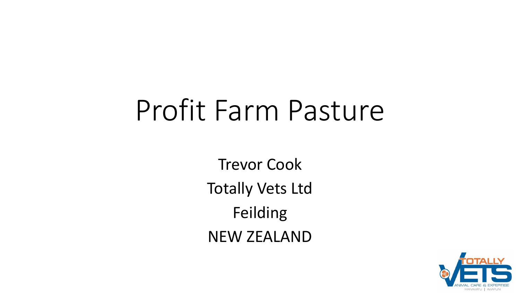# Profit Farm Pasture

Trevor Cook Totally Vets Ltd Feilding NEW ZEALAND

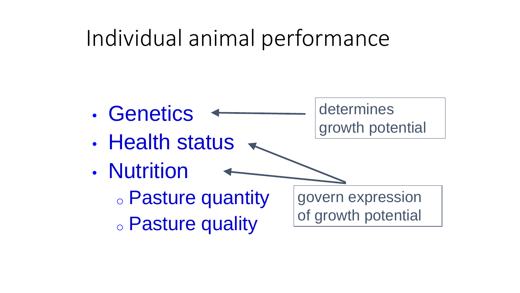## Individual animal performance

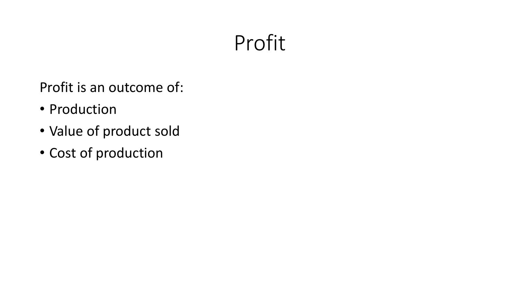#### Profit

Profit is an outcome of:

- Production
- Value of product sold
- Cost of production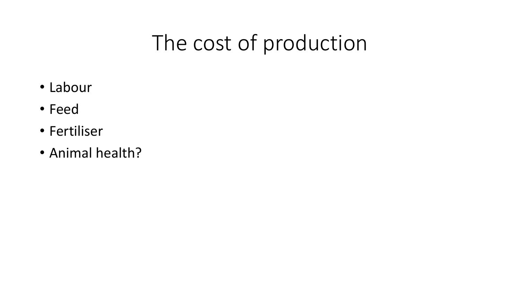# The cost of production

- Labour
- Feed
- Fertiliser
- Animal health?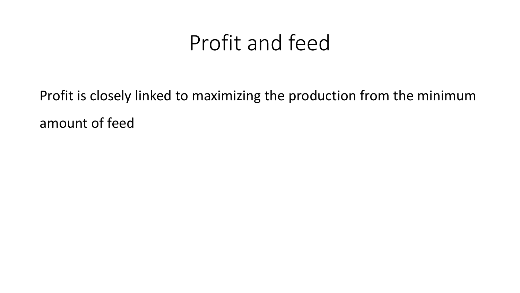#### Profit and feed

Profit is closely linked to maximizing the production from the minimum amount of feed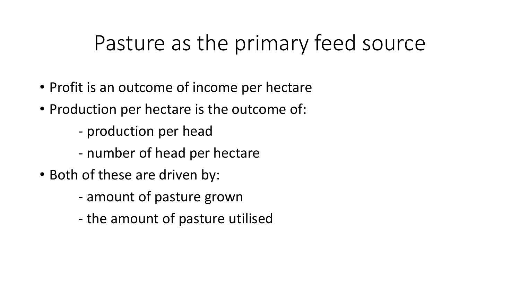#### Pasture as the primary feed source

- Profit is an outcome of income per hectare
- Production per hectare is the outcome of:
	- production per head
	- number of head per hectare
- Both of these are driven by:
	- amount of pasture grown
	- the amount of pasture utilised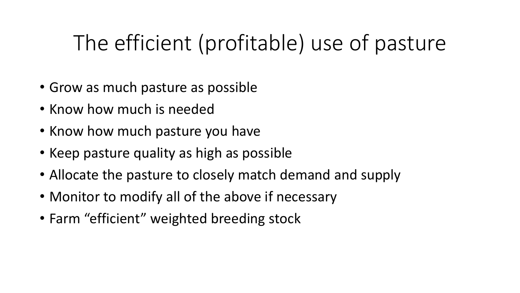# The efficient (profitable) use of pasture

- Grow as much pasture as possible
- Know how much is needed
- Know how much pasture you have
- Keep pasture quality as high as possible
- Allocate the pasture to closely match demand and supply
- Monitor to modify all of the above if necessary
- Farm "efficient" weighted breeding stock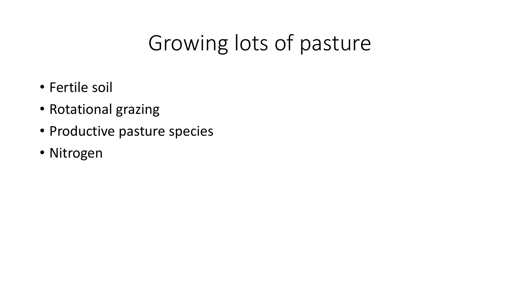# Growing lots of pasture

- Fertile soil
- Rotational grazing
- Productive pasture species
- Nitrogen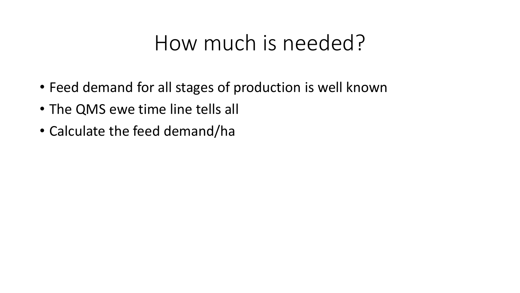#### How much is needed?

- Feed demand for all stages of production is well known
- The QMS ewe time line tells all
- Calculate the feed demand/ha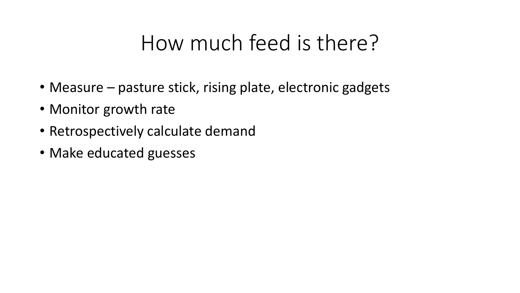#### How much feed is there?

- Measure pasture stick, rising plate, electronic gadgets
- Monitor growth rate
- Retrospectively calculate demand
- Make educated guesses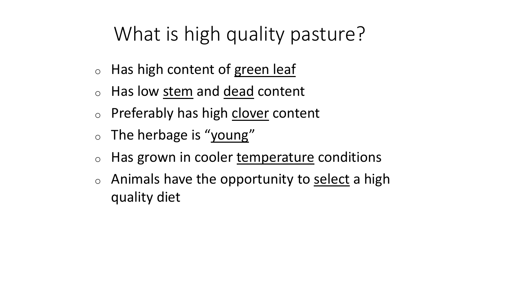#### What is high quality pasture?

- $\circ$  Has high content of green leaf
- <sup>o</sup> Has low stem and dead content
- $\circ$  Preferably has high clover content
- $\circ$  The herbage is "young"
- $\circ$  Has grown in cooler temperature conditions
- $\circ$  Animals have the opportunity to select a high quality diet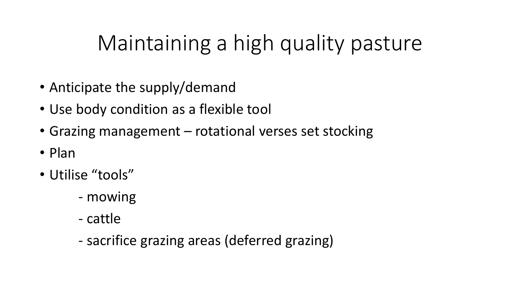# Maintaining a high quality pasture

- Anticipate the supply/demand
- Use body condition as a flexible tool
- Grazing management rotational verses set stocking
- Plan
- Utilise "tools"
	- mowing
	- cattle
	- sacrifice grazing areas (deferred grazing)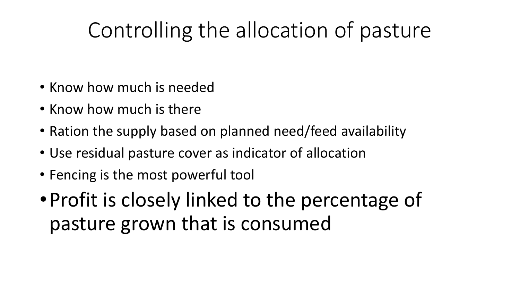# Controlling the allocation of pasture

- Know how much is needed
- Know how much is there
- Ration the supply based on planned need/feed availability
- Use residual pasture cover as indicator of allocation
- Fencing is the most powerful tool
- •Profit is closely linked to the percentage of pasture grown that is consumed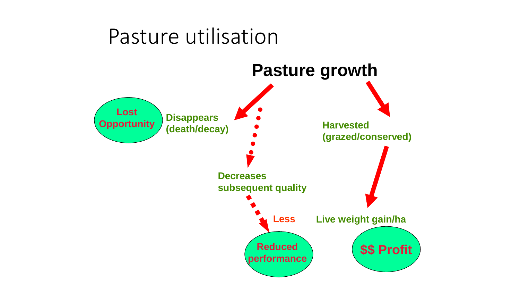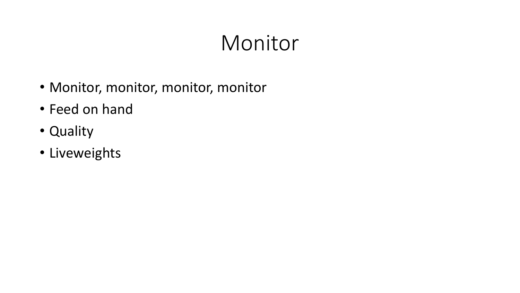## Monitor

- Monitor, monitor, monitor, monitor
- Feed on hand
- Quality
- Liveweights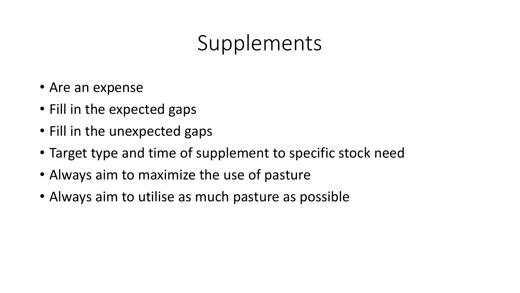## Supplements

- Are an expense
- Fill in the expected gaps
- Fill in the unexpected gaps
- Target type and time of supplement to specific stock need
- Always aim to maximize the use of pasture
- Always aim to utilise as much pasture as possible